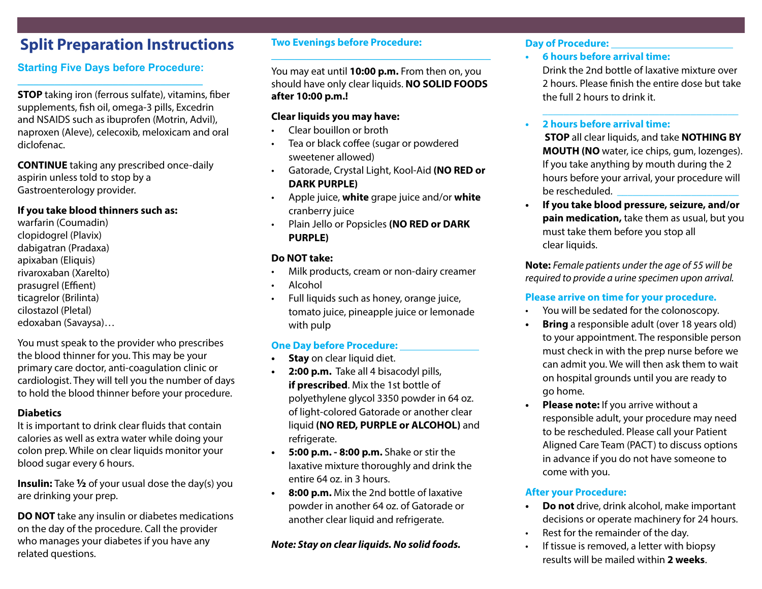## **Split Preparation Instructions**

#### **Starting Five Days before Procedure:** \_\_\_\_\_\_\_\_\_\_\_\_\_\_\_\_\_\_\_\_\_\_\_\_\_\_\_\_\_\_\_\_\_\_\_

**STOP** taking iron (ferrous sulfate), vitamins, fiber supplements, fish oil, omega-3 pills, Excedrin and NSAIDS such as ibuprofen (Motrin, Advil), naproxen (Aleve), celecoxib, meloxicam and oral diclofenac.

**CONTINUE** taking any prescribed once-daily aspirin unless told to stop by a Gastroenterology provider.

## **If you take blood thinners such as:**

warfarin (Coumadin) clopidogrel (Plavix) dabigatran (Pradaxa) apixaban (Eliquis) rivaroxaban (Xarelto) prasugrel (Effient) ticagrelor (Brilinta) cilostazol (Pletal) edoxaban (Savaysa)…

You must speak to the provider who prescribes the blood thinner for you. This may be your primary care doctor, anti-coagulation clinic or cardiologist. They will tell you the number of days to hold the blood thinner before your procedure.

#### **Diabetics**

It is important to drink clear fluids that contain calories as well as extra water while doing your colon prep. While on clear liquids monitor your blood sugar every 6 hours.

**Insulin:** Take **½** of your usual dose the day(s) you are drinking your prep.

**DO NOT** take any insulin or diabetes medications on the day of the procedure. Call the provider who manages your diabetes if you have any related questions.

#### **Two Evenings before Procedure: \_\_\_\_\_\_\_\_\_\_\_\_\_\_\_\_\_\_\_\_\_\_\_\_\_\_\_\_\_\_\_\_\_\_\_\_\_\_**

You may eat until **10:00 p.m.** From then on, you should have only clear liquids. **NO SOLID FOODS after 10:00 p.m.!**

## **Clear liquids you may have:**

- Clear bouillon or broth
- Tea or black coffee (sugar or powdered sweetener allowed)
- Gatorade, Crystal Light, Kool-Aid **(NO RED or DARK PURPLE)**
- Apple juice, **white** grape juice and/or **white** cranberry juice
- Plain Jello or Popsicles **(NO RED or DARK PURPLE)**

## **Do NOT take:**

- Milk products, cream or non-dairy creamer
- Alcohol
- Full liquids such as honey, orange juice, tomato juice, pineapple juice or lemonade with pulp

## **One Day before Procedure:**

- **• Stay** on clear liquid diet.
- **• 2:00 p.m.** Take all 4 bisacodyl pills, **if prescribed**. Mix the 1st bottle of polyethylene glycol 3350 powder in 64 oz. of light-colored Gatorade or another clear liquid **(NO RED, PURPLE or ALCOHOL)** and refrigerate.
- **• 5:00 p.m. 8:00 p.m.** Shake or stir the laxative mixture thoroughly and drink the entire 64 oz. in 3 hours.
- **• 8:00 p.m.** Mix the 2nd bottle of laxative powder in another 64 oz. of Gatorade or another clear liquid and refrigerate.

#### *Note: Stay on clear liquids. No solid foods.*

#### **Day of Procedure:**

**• 6 hours before arrival time:** 

Drink the 2nd bottle of laxative mixture over 2 hours. Please finish the entire dose but take the full 2 hours to drink it.

\_\_\_\_\_\_\_\_\_\_\_\_\_\_\_\_\_\_\_\_\_\_\_\_\_\_\_\_\_\_\_\_\_\_\_\_\_

#### **• 2 hours before arrival time:**

**STOP** all clear liquids, and take **NOTHING BY MOUTH (NO** water, ice chips, gum, lozenges). If you take anything by mouth during the 2 hours before your arrival, your procedure will be rescheduled. \_\_\_\_\_\_\_\_\_\_\_\_\_\_\_\_\_\_\_\_\_\_\_

**• If you take blood pressure, seizure, and/or pain medication,** take them as usual, but you must take them before you stop all clear liquids.

**Note:** *Female patients under the age of 55 will be required to provide a urine specimen upon arrival.*

## **Please arrive on time for your procedure.**

- You will be sedated for the colonoscopy.
- **Bring** a responsible adult (over 18 years old) to your appointment. The responsible person must check in with the prep nurse before we can admit you. We will then ask them to wait on hospital grounds until you are ready to go home.
- **• Please note:** If you arrive without a responsible adult, your procedure may need to be rescheduled. Please call your Patient Aligned Care Team (PACT) to discuss options in advance if you do not have someone to come with you.

## **After your Procedure:**

- **• Do not** drive, drink alcohol, make important decisions or operate machinery for 24 hours.
- Rest for the remainder of the day.
- If tissue is removed, a letter with biopsy results will be mailed within **2 weeks**.